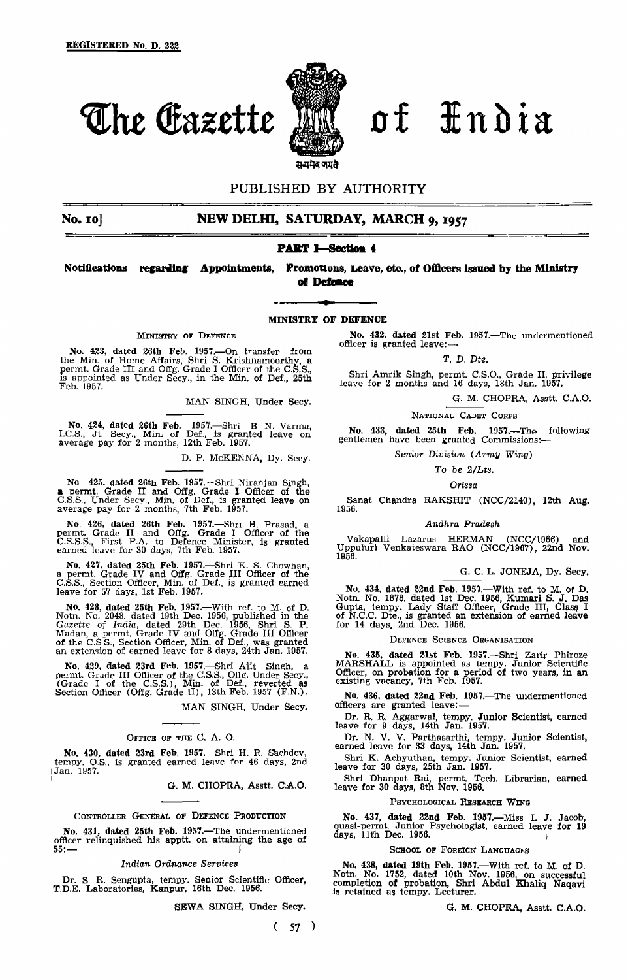

The Gazette M of <del>I</del>ndia

# PUBLISHED BY AUTHORITY

# No. 10] **NEW DELHI, SATURDAY, MARCH 9, 1957**

# **PART I—**Section **4**

Notifications **regarding** Appointments, Promotions, Leave, etc., of Officers issued by the Ministry **of Defence**

# MINISTRY OF DEFENCE

MINISTRY OF DEFENCE

No. 423, dated 26th Feb. 1957.—On transfer from the Min. of Home Affairs, Shri S. Krishnamoorthy, a permt. Grade III and Offg. Grade I Officer of the C.S.S., is appointed as Under Secy., in the Min. of Del, 25th  $\textbf{Feb}$ . 1957.

MAN SINGH, Under Secy.

No, 424, dated 26th Feb. 1957.—Shri B N. Varma, I.C.S., Jt. Secy., Min of Def., is granted leave on average pay for 2 months, 12th Feb. 1957.

D. P. MCKENNA, Dy. Secy.

No 425, dated 26th Feb. 1957.—Shrl Niranjan Singh, a permt. Grade II and Offg. Grade I Officer of the C.S.S., Under Secy., MIn. of Def., is granted leave on average pay for 2 months, 7th Feb. 1957.

No. 426, dated 26th Feb. 1957.—Shri B. Prasad, a permt. Grade II and Offg. Grade I Officer of the C.S.S.S., First P.A. to Defence Minister, is granted earned leave for 30 days, 7th Feb. 1957.

No. 427, dated 25th Feb. 1957.—Shri K. S. Chowhan, a permt. Grade IV and Offg. Grade III Officer of the C.S.S., Section Officer, Min, of Del., is granted earned leave for 57 days, 1st Feb. 1957.

No. 428, dated 25th Feb. 1957.—With ref. to M. of D. Notn. No. 2048, dated 19th Dec. 1956, published in the *Gazette of India,* dated 29th Dec. 1956, Shri S. P. Madan, a permt. Grade IV and Offg. Grade III Officer of the C.S S., Section Officer, Min. of Def., was granted an extension of earned leave for 8 days, 24th Jan. 1957.

No. 429, dated 23rd Feb. 1957.—Shri Ajit Singh, a permt. Grade III Officer of the C.S.S., Ofig. Under Secy., (Grade I of the C.S.S.), Min. of Def., reverted as Section Officer (Offg. Grade II), 13th Feb. 1957 (F.N.).

MAN SINGH, Under Secy.

# OFFICE OF THE C. A. O.

No. 430, dated 23rd Feb. 1957.—Shri H. R. Sachdev tempy. O.S., is granted) earned leave for 46 days, 2nd Jan. 1957.

G. M. CHOPRA, Asstt. C.A.O.

# CONTROLLER GENERAL OF DEFENCE PRODUCTION

No. 431, dated 25th Feb. 1957.—The undermentioned officer relinquished his apptt. on attaining the age of  $55: 55:$ 

### *Indian Ordnance Services*

Dr. S. R. Sengupta, tempy. Senior Scientific Officer, T.D.E. Laboratories, Kanpur, 16th Dec. 1956.

SEWA SINGH, Under Secy.

**( 57 )**

No. 432. dated 21st Feb. 1957.—The undermentioned officer is granted leave: —

T. *D. Dte.*

Shri Amrik Singh, permt. C.S.O., Grade II, privilege leave for 2 months and 16 days, 18th Jan. 1957.

G. M. CHOPRA, Asstt. C.A.O.

NATIONAL CADET CORPS

No. 433, dated 25th Feb. 1957.—The following gentlemen have been granted Commissions:—

*Senior Division (Army Wing)*

### *To be 2/Lts.*

*Orissa*

Sanat Chandra RAKSHIT (NCC/2140), 12th Aug. 1956.

### *Andhra Pradesh*

Vakapalli Lazarus HERMAN (NCC/1966) and Uppuluri Venkateswara RAO (NCC/1967), 22nd Nov. 1956,

### G. C. L. JONEJA, Dy. Secy.

No. 434, dated 22nd Feb. 1957.—With ref. to M. of D. Notn. No. 1878, dated 1st Dec. 1956, Kumari S. J. Das Gupta, tempy. Lady Staff Officer, Grade III, Class I of N.C.C. Dte., is granted an extension of earned Leave for 14 days, 2nd Dec. 1956.

### DEFENCE SCIENCE ORGANISATION

No. 435, dated 21st Feb. 1957.—Shri Zarlr Phiroze MARSHALL is appointed as tempy. Junior Scientific Officer, on probation for a period of two years, in an existing vacancy, 7th Feb. 1957.

No. 436, dated 22nd Feb. 1957.—The undermentioned officers are granted leave: —

Dr. R. R, Aggarwal, tempy. Junior Scientist, earned leave for 9 days, 14th Jan. 1957.

Dr. N. V. V. Parthasarthi, tempy. Junior Scientist, earned leave for 33 days, 14th Jan. 1957,

Shri K. Achyuthan, tempy. Junior Scientist, earned leave for 30 days, 25th Jan. 1957.

Shri Dhanpat Rai, permt. Tech. Librarian, earned leave for 30 days, 8th Nov. 1956.

### PSYCHOLOGICAL RESEARCH WING

No. 437, dated 22nd Feb. 1957.—Miss I. J. Jacob, quasi-permt. Junior Psychologist, earned leave for 19 days, 11th Dec. 1956.  $\ddot{\phantom{1}}$ 

# SCHOOL OF FOREIGN LANGUAGES

No. 438, dated 19th Feb. 1957.—With ref. to M. of D. Notn. No. 1752, dated 10th Nov. 1956, on successful completion of probation, Shri Abdul Khaliq Naqavi is retained as tempy. Lecturer.

G. M. CHOPRA, Asstt. C.A.O.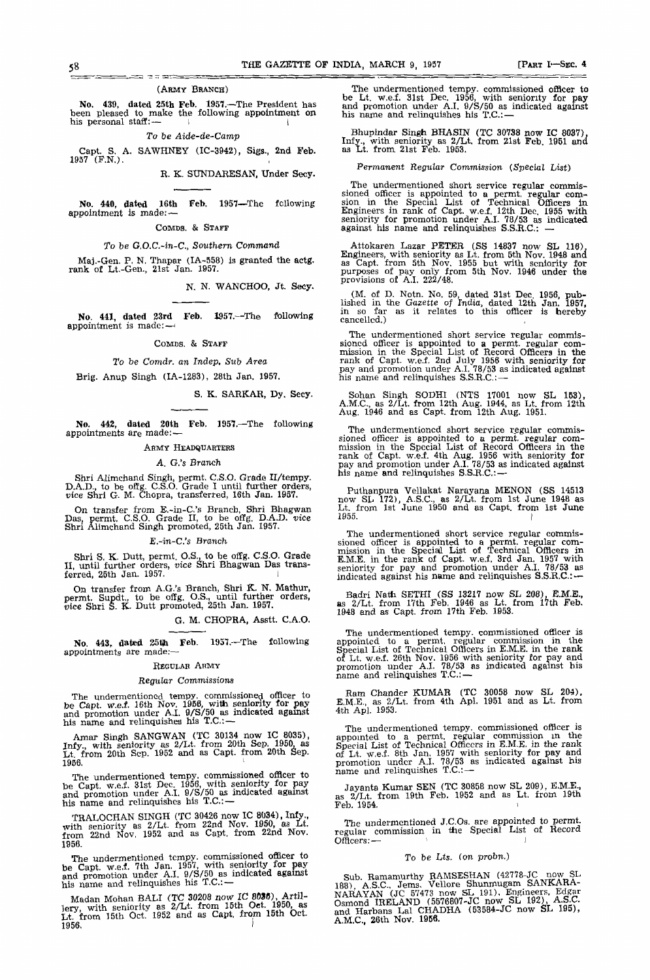### (ARMY BRANCH)

<u>nte du m</u>

No. 439, dated 25th Feb. 1957.—The President has been pleased to make the following appointment on his personal staff:— I I

*To be Aide-de-camp*

Capt. S, A. SAWHNEY (IC-3942), Sigs., 2nd Feb. 1957 (F.N.).

R. K. SUNDARESAN, Under Secy.

16th Feb. 1957—The following No. 440, dated 16th<br>appointment is made:

COMDS. & STAFF

# To be G,O.C.-in-C., Southern Command

Maj.-Gen. P. N. Thapar (IA-558) is granted the actg. rank of Lt.-Gen., 21st Jan. 1957.

N. N. WANCHOO, Jt. Secy.

No. 441, dated 23rd Feb. 1357.—The following appointment is made:-

## COMDS. & STAFF

To be *Comdr. an Indep. Sub Area*

Brig. Anup Singh (IA-1283), 28th Jan. 1957.

### S. K. SARKAR, Dy. Secy.

No. 442, dated 20th Feb. 1951.—The following appointments are made: —

# ARMY HEADQUARTERS

### *A. G.'s Branch*

Shri Alimchand Singh, permt, C.S.O. Grade II/tempy. D.A.D., to be offg. C.S.O. Grade I until further orders, vice Shri G. M. Chopra, transferred, 16th Jan. 1957.

On transfer from E.-in-C.'s Branch, Shri Bhagwan Das. permt. C.S.O. Grade II, to be offg. D.A.D. *vice* Shri Alimchand Singh promoted, 25th Jan. 1957.

### E.-in-C.'s Branch

Shri S. K. Dutt, permt. O.S., to be offg. C.S.O. Grade II, until further orders, *vice* Shri Bhagwan Das transferred, 25th Jan. 1957.

On transfer from A.G.'s Branch, Shri K. N. Mathur, permt. Supdt, to be offg. O.S., until further orders, vice Shri S. K. Dutt promoted, 25th Jan. 1957.

G. M. CHOPRA, Asstt. C.A.O.

No. 443, dated 25th Feb. 1957.—The following appointments are made:-

# REGULAR ARMY

### *Regular Commissions*

The undermentioned tempy. commissioned officer to be Capt. w.e.f. 16th Nov. 1958, with seniority for pay and promotion under A.I. 9/S/50 as indicated against his name and relinquishes his T.C.: —

Amar Singh SANGWAN (TC 30134 now IC 8035), Infy., with seniority as 2/Lt. from 20th Sep. 1950, as Lt from 20th Sep. 1952 and as Capt. from 20th Sep. 1956. **ISBN 2047-8-47-8-48-6-48-6-48-6-48-6-48-6-4** 

The undermentioned tempy. commissioned officer to be Capt. w.ei. 31st Dec. 1956, with seniority for pay and promotion under A.I. 9/S/50 as indicated against his name and relinquishes his T.C.:-

TRALOCHAN SINGH (TC 30426 now IC 8034), Infy., with seniority as 2/Lt. from 22nd Nov. 1950, as Lt. from 22nd Nov. 1952 and as Capt. from 22nd Nov. 1956.

The undermentioned tempy. commissioned officer to be Capt. w.e.f. 7th Jan. 1957, with seniority for pay and promotion under A.I. 9/S/50 as indicated against his name and relinquishes his T.C.: —

Madan Mohan BALI (TC 3020S now IC 8088), Artillery, with seniority as 2/Lt. from 15th Oct. 1950, as Lt. from 15th Oct. 1952 and as Capt. from 15th Oct. 1956, *i*

The undermentioned tempy. commissioned officer to be Lt. w.e.f. 31st Dec. 1956, with seniority for pay and promotion under A.I. 9/S/50 as indicated against his name and relinquishes his T.C.:-

Bhupindar Singh BHASIN (TC 30738 now IC 8037), Infy., with seniority as 2/Lt, from 21st Feb 1951 and as Lt. from 21st Feb. 1953.

*Permanent Regular Commission* (Special List)

The undermentioned short service regular commis-sioned officer is appointed to a permt. regular comsion in the Special List of Technical Officers In Engineers in rank of Capt. w.e.f. 12th Dec. 1955 with seniority for promotion under A.I. 78/53 as indicated against his name and relinquishes S.S.R.C: —

Attokaren Lazar PETER (SS 14837 now SL 116),<br>Engineers, with seniority as Lt. from 5th Nov. 1948 and<br>as Capt. from 5th Nov. 1955 but with seniority for<br>purposes of pay only from 5th Nov. 1946 under the<br>provisions of A.I. 2

(M. of D. Notn. No. 59, dated 31st Dec. 1956, published in the Gazette of India, dated 12th Jan. 1957, in so far as it relates to this officer is hereby cancelled.)

The undermentioned short service regular commis-sioned officer is appointed to a permt. regular commission in the Special List of Record Officers in the rank of Capt. w.e.f. 2nd July 1956 with seniority for pay and promotion under A.I, 78/53 as indicated against his name and relinquishes S.S.R.C: —

Sohan Singh SODHI (NTS 17001 now SL 153), A.M.C., as 2/Lt. from 12th Aug. 1944, as Lt. from 12th Aug. 1946 and as Capt. from 12th Aug. 1951.

The undermentioned short service regular commis-sioned officer is appointed to a permt, regular commission in the Special List of Record Officers in the rank of Capt. w.e.f. 4th Aug. 1956 with seniority for pay and promotion under A.I. 78/53 as indicated against his name and relinquishes S.S.R.C.:-

Puthanpura Vellakat Narayana MENON (SS 14513 now SL 172), A.S.C., as 2/Lt. from 1st June 1948 as Lt. from 1st June 1950 and as Capt. from 1st June  $1955.$ 

The undermentioned short service regular commis-sioned officer is appointed to a permt. regular commission in the Special List of Technical Officers in E.M.E. in the rank of Capt. w.ei. 3rd Jan, 1957 with seniority for pay and promotion under A.I. 78/53 as indicated against his name and relinquishes S.S.R.C.: --

Badri Nath SETHI (SS 13217 now SL 208), E.M.E., as 2/Lt. from 17th Feb. 1946 as Lt, from 17th Feb. 1948 and as Capt. from 17th Feb. 1953.

The undermentioned tempy. commissioned officer is appointed to a permt. regular commission in the Special List of Technical Officers in E.M.E. in the rank of Lt. w.ei. 26th Nov. 1956 with seniority for pay and promotion under A.I. 78/53 as indicated against his name and relinquishes T.C: —

Ram Chander KUMAR (TC 30058 now SL 204). E M.E, as 2/Lt. from 4th Apl. 1951 and as Lt. from 4th Apl. 1953.

The undermentioned tempy. commissioned officer is appointed to a permt. regular commission in the Special List of Technical Officers in E.M.E. in the rank of Lt. w.e.f. 8th Jan. 1957 with seniority for pay and promotion under A.I. 78/53 as indicated against his name and relinquishes T.C: —

Jayanta Kumar SEN (TC 30858 now SL 209), E.M.E., as 2/Lt. from 19th Feb. 1952 and as Lt. from 19th Feb. 1954.

The undermentioned J.COs. are appointed to permt. regular commission in the Special List of Record Officers: —  $\qquad \qquad$ 

# To be Lts. (on probn.)

Sub. Ramamurthy RAMSESHAN (42778-JC now SL 188) AS.C, Jems. Vellore Shunmugam SANKARA-NARAYAN (JC 57473 now SL 191), Engineers, Edgar Osmond IRELAND  $(5576807 - JC$  now SL 192), A.S.C. and Harbans Lal CHADHA (53584-JC now SL 195), A.M.C, 26th Nov. 1966.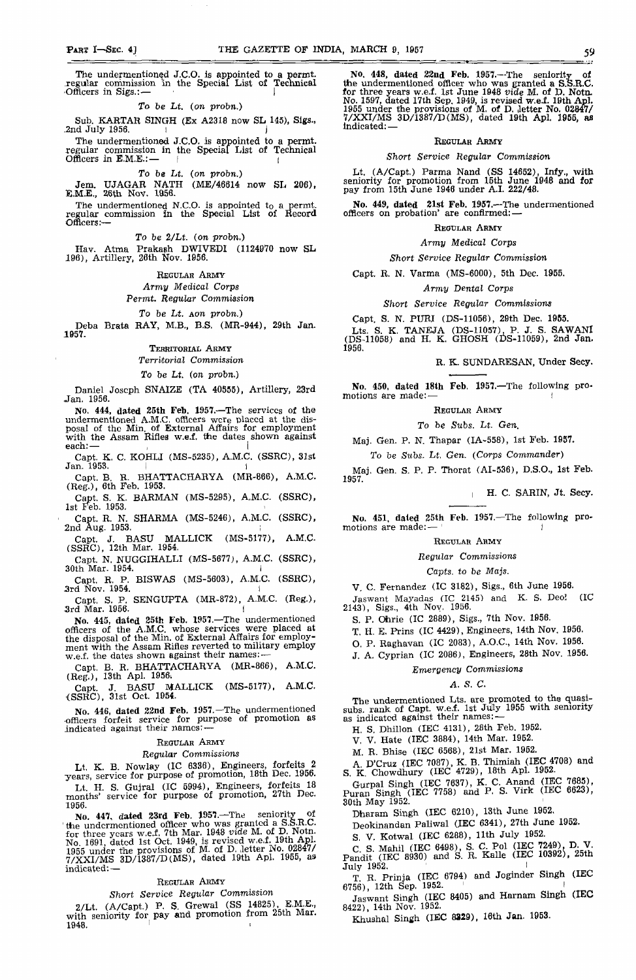The undermentioned J.C.O. is appointed to a permt. regular commission *m* the Special List of Technical Officers in Sigs.:

# *To be Lt. (on probn.)*

Sub. KARTAR SINGH (Ex A2318 now SL 145), Stgs., .2nd July 1956.

The undermentioned J.C.O. is appointed to a permt. regular commission in the Special List of Technical  $\overline{\text{Offf}}$ cers in E.M.E.: —  $\overline{\qquad}$  I

To be *Lt. (on probn.)*

Jem. UJAGAR NATH (ME/46614 now SL 206), E.M.E., 26th Nov. 1856.

The undermentioned N.C.O. is appointed to a permt. regular commission In the Special List of Record Officers:—

*To be 2/Lt. (on probn.)*

Hav. Atma Prakash DWIVEDI (1124970 now SL 196), Artillery, 20th Nov. 1956.

# REGULAR ARMY *Army Medical Corps*

*Permt. Regular Commission*

# *To be Lt. Aon probn.)*

Deba Brata RAY, M.B., B.S. (MR-944), 29th Jan. 1957.

TERRITORIAL ARMY

*Territorial Commission*

# *To be Lt. (on probn.)*

Daniel Joseph SNAIZE (TA 40555), Artillery, 23rd Jan. 1956.

No. 444, dated 25th Feb. 1957.—The services of the undermentioned A.M.C. officers were placed at the disposal of the Min. of External Affairs for employment with the Assam Rifles w.e.f. the dates shown against  $\mathsf{each}$ :  $\qquad \qquad$ 

Capt. K. C. KOHLI (MS-5235), A.M.C. (SSRC), 31st Jan. 1953.

BHATTACHARYA (MR-866), A.M.C. Capt. B. R. BHAT<br>(Reg.), 6th Feb. 1953.

Capt. S. K. BARMAN (MS-5295), A.M.C. (SSRC), 1st Feb. 1953.

Capt. R. N. SHARMA (MS-5246), A.M.C. (SSRC),  $2nd$  Aug. 1953.

Capt. J. BASU MALLICK (MS-5177), A.M.C- (SSRC), 12th Mar. 1954.

Capt. N. NUGGIHALLI (MS-5677), A.M.C. (SSRC), 30th Mar. 1954. I

Capt. R. P. BISWAS (MS-5603), A.M.C. (SSRC), .3rd Nov. 1954. I

Capt. S. P. SENGUFTA (MR-872), A.M.C. (Reg.), -3rd Mar. 1956. I

No. 445, dated 25th Feb. 1957.—The undermentioned officers of the A.M.C. whose services were placed at the disposal of the Min. of External Affairs for employment with the Assam Rifles reverted to military employ w.e.f. the dates shown against their names: —

Capt. B. R, BHATTACHARYA (MR-866), A.M.C. (Reg.), 13th Apl. 1956i

Capt. J. BASU MALLICK (MS-5177), A.M.C. (SSRC), 31st Oct. 1954.

No. 446, dated 22nd Feb. 1957.—The undermentioned officers forfeit service for purpose of promotion as indicated against their names: —

### REGULAR ARMY

# *Regular Commissions*

Lt. K. B. Nowlay (IC 6336), Engineers, forfeits 2 years, service for purpose of promotion, 18th Dec. 1956. Lt H. S. Gujral (IC 5994), Engineers, forfeits 18 months' service for purpose of promotion, 27th Dec.

1956. No. 447, dated 23rd Feb. 1957.—The seniority of the undermentioned officer who was granted a S.S.R.C.<br>C. three wears we of 7th Mar. 1948 *wide* M. of D. Notn. for three years w.e.f. 7th Mar. 1948 *vide M.* of D. Notn. No. 1691, dated 1st Oct. 1949, is revised w.e.f. 19th Apl. 1955 under the provisions of M. of D. Jetter No. 020477<br>2788717MS 3D/1987/D(MS) dated 19th Apl. 1955, as  $7/XX1/MS$  3D/1387/D(MS), dated 19th Apl. 1955, as<br>indicated: indicated: —

### REGULAR ARMY

# *Short Service Regular Commission*

2/Lt.  $(A/Capt.)$  P. S. Grewal (SS 14825), E.M.E., with seniority for pay and promotion from 25th Mar.  $1948.$ 

No. 448, dated 22nd Feb. 1957.—The seniority of the undermentioned officer who was granted a S.S.R.C. for three years w.e.f. 1st June 1948 *vide* M. of D. Notn. No. 1597, dated 17th Sep, 1949, is revised w.e.f. 19th Apl. 1955 under the provisions of M. of D. Jetter No. 02847/ 7/XXI/MS 3D/1387/D(MS), dated 19th Apl. 1955, as Indicated: —

# REGULAR ARMY

# *Short Service Regular Commission*

Lt. (A/Capt.) Parma Nand (SS 14652), Infy., with seniority for promotion from 15th June 1948 and for pay from 15th June 1946 under A.I. 222/48.

No. 449, dated 21st Feb. 1957.—The undermentioned officers on probation' are confirmed: —

### REGULAR ARMY

*Army Medical Corps*

## *Short Service Regular Commission*

Capt. R. N. Varma (MS-6000), 5th Dec. 1955.

### *Army Dental Corps*

# *Short Service Regular Commissions*

Capt. S. N. PURI (DS-11056), 29th Dec. 1955.

Lts. S. K. TANEJA (DS-11057), P. J. S. SAWANI (DS-11058) and H. K. GHOSH (DS-11059), 2nd Jan. 1956.

# R. K. SUNDARESAN, Under Secy.

No. 450, dated 18th Feb. 1957.—The following promotions are made:

REGULAR ARMY

### *To be Subs. Lt. Gen.*

Maj. Gen. P. N. Thapar (IA-558), 1st Feb. 1957.

*To be Subs. Lt. Gen. (Corps Commander)*

Mai. Gen. S. P. P. Thorat (AI-536), D.S.O., 1st Feb. 1957.

H. C. SARIN, Jt. Secy.

No. 451, dated 25th Feb. 1957.—The following promotions are made: —  $\vert$ 

### REGULAR ARMY

### *Regular Commissions*

# *Capts. to be Majs.*

V. C. Fernandez (IC 3182), Sigs., 6th June 1956.

Jaswant Mayadas (IC 2145) and K. S. Deo! (IC 2143), Sigs., 4th Nov. 1956.

S. P. Ohrie (IC 2889), Sigs., 7th Nov. 1956.<br>T. H. E. Prins (IC 4429), Engineers, 14th Nov. 1956.

T, H. E. Prins (IC 4429), Engineers, 14th Nov. 1956.

O. P. Raghavan (IC 2083), A.O.C., 14th Nov. 1956. J. A. Cyprian (IC 2086), Engineers, 28th Nov. 1956.

# *Emergency Commissions*

### *A. S. C.*

The undermentioned Lts. are promoted to the quasisubs. rank of Capt. w.e.f. 1st July 1955 with seniority as indicated against their names: -

H. S. Dhillon (IEC 4131), 28th Feb. 1952.

V. V. Hate (IEC 3884), 14th Mar. 1952.

M. R. Bhise (IEC 6568), 21st Mar. 1962.

A D'Cruz (IEC 7087), K. B. Thimiah (IEC 4708) and S. K. Chowdhury (IEC 4729), 18th Apl. 1952.

**Puran Singh (IEC 7637)**<br>Puran Singh (IEC 7758) a **nd** P S. Virk (IEC 6623),  $\overline{a}$ 30th May 1952.

Dharam Singh (IEC 6210), 13th June 1952.

Peokinandan Paliwal (IEC 6341), 27th June 1952.

S. V. Kotwal (IEC 6288), 11th July 1952.

*C* S. Mahil (IEC 6498), S. *C.* Pol (IEC 7249), D. V. Pandit (IEC 8930) and S. R. Kalle (IEC 10392), 25th  $\text{July } 1952.$ 

T R Prinia (IEC 6794) and Joginder Singh (IEC 6756), 12th Sep. 1952. ' I

Jaswant Singh (IEC 8405) and Harnam Singh (IEC 8422), 14th Nov. 1952.

Khushal Singh (IEC 8329), 16th Jan. 1953.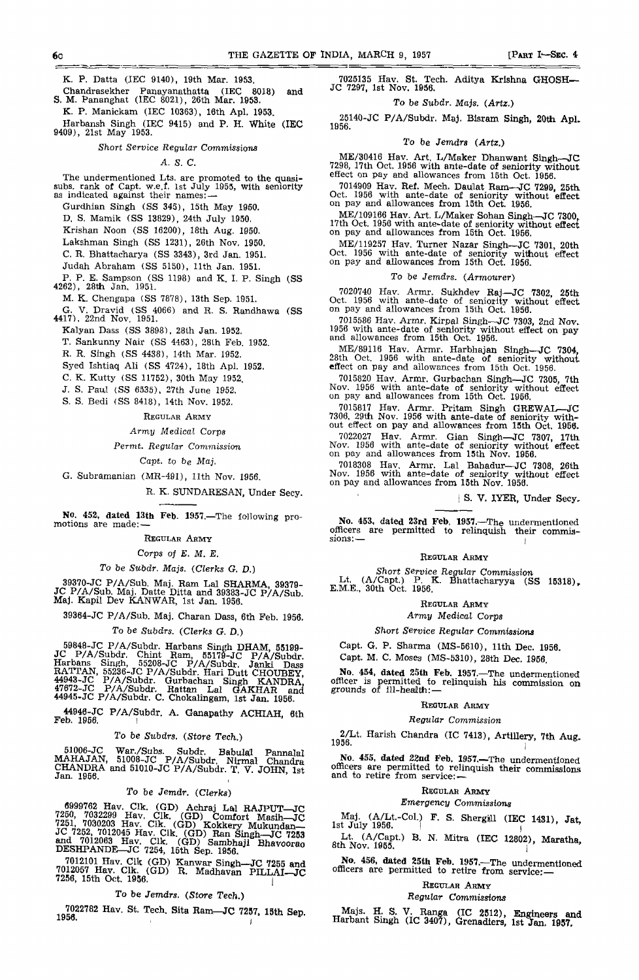K. P. Datta (IEC 9140), 19th Mar. 1953.

Chandrasekher Fanayanathatta (IEC 8018) and S. M. Pananghat (IEC 8021), 26th Mar. 1953.

K. P. Manickam (IEC 10363), 16th Apl. 1953.

Harbansh Singh (IEC 9415) and P. H. White (IEC 9409), 21st May 1953.

# *Short Service Regular Commissions*

### *A. S. C.*

The undermentioned Lts. are promoted to the quasi-subs. rank of Capt. w.e.f. 1st July 1955, with seniority as indicated against their names:  $-$ Gurdhian Singh (SS 345), 15th May 1950.

D. S. Mamik (SS 13829), 24th July 1950.

Krishan Noon (SS 16200), 18th Aug. 1950.

Lakshman Singh (SS 1231), 26th Nov. 1950.

C. B. Bhattacharya (SS 3343), 3rd Jan. 1951.

Judah Abraham (SS 5150), 11th Jan. 1951.

P. P. E. Sampson (SS 1198) and K. I. P. Singh (SS 4262), 28th Jan. 1951.

M. K. Chengapa (SS 7878), 13th Sep. 1951.

- G. V. Dravid (SS 4066) and R. S. Randhawa (SS 4417), 22nd Nov. 1951.
	- Kalyan Dass (SS 3898), 28th Jan. 1952.

T. Sankunny Nair (SS 4463), 28th Feb. 1952.

R. R. Singh (SS 4438), 14th Mar. 1952.

Syed Ishtiaq AH (SS 4724), 18th Apl. 1952.

- C. K. Kutty (SS 11752), 30th May 1952.
- J. S. Paul (SS 6535), 27th June 1952.

S. S, Bedi (SS 8418), 14th Nov. 1952.

### REGULAR ARMY

# *Army Medical* Corps

Permt. *Regular Commission*

# *Capt. to be Maj.*

G. Subramanian (MR-491), 11th Nov. 1956.

# R. K. SUNDARESAN, Under Secy.

No. 453, dated 13th Feb. 1957.—The following promotions are made: —

# REGULAR ARMY

# Corps *of E. M. E.*

# *To* be Subdr. *Majs. {Clerks G. D.)*

39370-JC P/A/Sub. Maj, Ram Lai SHARMA, 39379- JC P/A/Sub. Maj. Datte Ditta and 39383-JC P/A/Sub. Maj. Kapil Dev KANWAR, 1st Jan. 1956.

39364-JC P/A/Sub, Maj. Charan Dass, 6th Feb. 1956.

# To be *Subdrs. (Clerks* G. D.)

59848-JC P/A/Subdr. Harbans Singh DHAM, 65199- JC P/A/Subdr. Chint Ram, 55179-JC P/A/Subdr. Harbans Singh, 55208-JC P/A/Subdr. Janki Dass RATTAN, 55236-JC P/A/Subdr. Hari Dutt CHOUBEY, 44943-JC P/A/Subdr. Gurbachan Singh KANDRA, 47672-JC P/A/Subdr. Rattan Lai GAKHAR and 44945-JC P/A/Subdr. C. Chokalingam, 1st Jan. 1956.

44946-JC P/A/Subdr. A. Ganapathy ACHIAH, 6th<br>Feb. 1956.

# To be Subdrs. (Store Tech.)

51006-JC War./Subs. Subdr. Babulal Pannalal MAHAJAN, 51008-JC P/A/Subdr. Nlrmal Chandra CHANDRA and 51010-JC P/A/Subdr. T. V. JOHN 1st Jan. 1956.

# To be *Jemdr. (Clerks)*

<sup>6999762</sup> Hav. Clk. (GD) Achraj Lal RAJPUT—JC<br>7250 7032299 Hav Clk. (GD) Green Hall  $7250$ ,  $7032299$  Hav. Clk. (GD) Comfort Masih—JC 7291, 7030203 Hav. Clk. (GD) Kokkery Mukundan— JC 7262, 7012045 Hav. Clk. (GD) Ran Singh--JC 7253<br>and 7012063 Hav. Clk. (GD) Sambhaji Bhavoorao<br>DESHPANDE--JC 7254, 15th Sep. 1956.

7012101 Hav. Clk (GD) Kanwar Singh-JC 7255 and **7012057** Hav. Clk. (GD) R. Madhavan PILLAI—JO<br>**7256**, 15th Oct. 1956.

# *To* be *Jemdrs. (Store Tech.)*

7022782 Hav. St. Tech. Sita Ram-JC 7257, 15th Sep.<br>1956.

7025135 Hav. St. Tech. Adltya Krishna GHOSH— JC 7297, 1st Nov. 1956.

# To be Subdr. Majs. *(Artz.)*

25140-JC P/A/Subdr. Maj. Blsram Singh, **20th Apl.**

## *To* be Jemdrs *(Artz.)*

ME/30416 Hav. Art. L/Maker Dhanwant Singh-^JC 7298, 17th Oct. 1956 with ante-date of seniority without effect on pay and allowances from 15th Oct. 1956.

7014909 Hav. Ref. Mech. Daulat Ram—JC 7299, 25th.<br>Oct. 1956 with ante-date of seniority without effect<br>on pay and allowances from 15th Oct. 1956.

ME/109166 Hav. Art. L/Maker Sohan Singh—JC 7300, 17th Oct. 1956 with ante-date of seniority without effect<br>on pay and allowances from 15th Oct. 1956.

ME/119257 Hav. Turner Nazar Singh—JC 7301, 20th Oct. 1956 with ante-date of seniority without effect on pay and allowances from 15th Oct. 1956.

### To be *Jemdrs. (Armourer)*

7020740 Hav. Armr. Sukhdev Raj—JC 7302, 25th Oct. 1956 with ante-dato of seniority without effect on pay and allowances from 15th Oct. 1956.

7015586 Hav. Armr. Kirpal Singh—JC 7303, 2nd Nov. 1956 with ante-date of seniority without effect on pay and allowances from 15th Oct. 1956.

ME/89116 Hav. Armr. Harbhajan Singh—JC 7304, 28th Oct. 1956 with ante-date of seniority without effect on pay and allowances from 15th Oct. 1956.

7015820 Hav. Armr. Gurbachan Singh—JC 7305, 7th Nov. 1956 with ante-date of seniority without effect on pay and allowances from 15th Oct. 1956.

7015B17 Hav. Armr. Pritam Singh GREWAL—JC 7306, 29th Nov. 1956 with ante-date of seniority without effect on pay and allowances from 15th Oct. 1956.

7022027 Hav. Armr. Gian Singh—JC 7307, 17th Nov. 1956 with ante-date of seniority without effect on pay and allowances from 15th Nov. 1956.

7018308 Hav. Armr. Lai Bahadur—JC 7308, 26th Nov. 1956 with ante-date of seniority without effect on pay and allowances from 15th Nov. 1958.

[ S. V. IYER, Under Secy.

No. 453, dated 23rd Feb. 1957.—The undermentioned<br>officers are permitted to relinquish their commis-<br>sions:—

### REGULAR ARMY

*Short Service Regular Commission* Lt. (A/Capt.) P. K. Bhattacharyya (SS 15318), E.M.E., 30th Oct. 1956.

REGULAR ARMY

*Army Medical Corps*

# *Short Service Regular Commissions*

Capt, G. P. Sharma (MS-5610), 11th Dec. 1956.

Capt. M. C. Moses (MS-5310), 28th Dec. 1966.

No. 454, dated 25th Feb. 1957.—The undermentioned officer is permitted to relinquish his commission on<br>grounds of ill-health: —

### REGULAR ARMY

# *Regular Commission*

2/Lt. Harish Chandra (IC 7413), Artillery, 7th Aug. 1956. i

No. 455, dated 22nd Feb. 1957.—The undermentioned officers are permitted to relinquish their commissions and to retire from service: —

# REGULAR ARMY

# *Emergency Commissions*

**III** (IEC 1431), Jat, Ist July 1956.

 $8$ th Nov. 1955.

No. 456, **dated** 25th **Feb.** 1957.—The undermentioned officers are permitted to retire from service:

### REGULAR ARMY

# Regular *Commissions*

Majs. H. S. V. Ranga (IC 2312), Engineers and Harbant Singh (IC 3407), Grenadiers, 1st Jan. 1957,